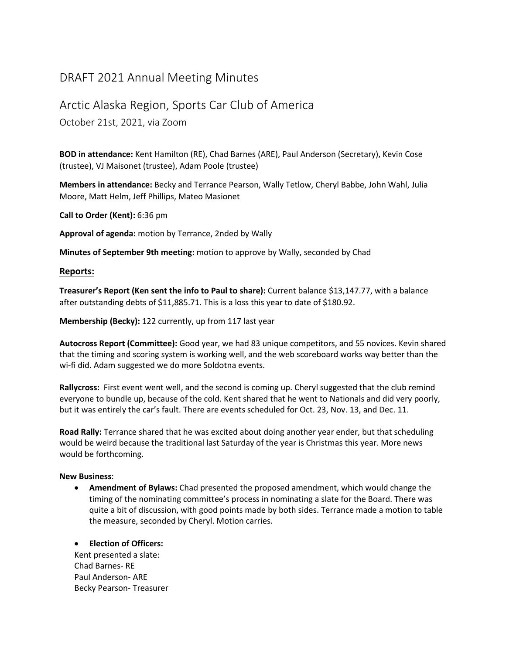# DRAFT 2021 Annual Meeting Minutes

## Arctic Alaska Region, Sports Car Club of America

October 21st, 2021, via Zoom

**BOD in attendance:** Kent Hamilton (RE), Chad Barnes (ARE), Paul Anderson (Secretary), Kevin Cose (trustee), VJ Maisonet (trustee), Adam Poole (trustee)

**Members in attendance:** Becky and Terrance Pearson, Wally Tetlow, Cheryl Babbe, John Wahl, Julia Moore, Matt Helm, Jeff Phillips, Mateo Masionet

**Call to Order (Kent):** 6:36 pm

**Approval of agenda:** motion by Terrance, 2nded by Wally

**Minutes of September 9th meeting:** motion to approve by Wally, seconded by Chad

#### **Reports:**

**Treasurer's Report (Ken sent the info to Paul to share):** Current balance \$13,147.77, with a balance after outstanding debts of \$11,885.71. This is a loss this year to date of \$180.92.

**Membership (Becky):** 122 currently, up from 117 last year

**Autocross Report (Committee):** Good year, we had 83 unique competitors, and 55 novices. Kevin shared that the timing and scoring system is working well, and the web scoreboard works way better than the wi-fi did. Adam suggested we do more Soldotna events.

**Rallycross:** First event went well, and the second is coming up. Cheryl suggested that the club remind everyone to bundle up, because of the cold. Kent shared that he went to Nationals and did very poorly, but it was entirely the car's fault. There are events scheduled for Oct. 23, Nov. 13, and Dec. 11.

**Road Rally:** Terrance shared that he was excited about doing another year ender, but that scheduling would be weird because the traditional last Saturday of the year is Christmas this year. More news would be forthcoming.

## **New Business**:

• **Amendment of Bylaws:** Chad presented the proposed amendment, which would change the timing of the nominating committee's process in nominating a slate for the Board. There was quite a bit of discussion, with good points made by both sides. Terrance made a motion to table the measure, seconded by Cheryl. Motion carries.

## • **Election of Officers:**

Kent presented a slate: Chad Barnes- RE Paul Anderson- ARE Becky Pearson- Treasurer